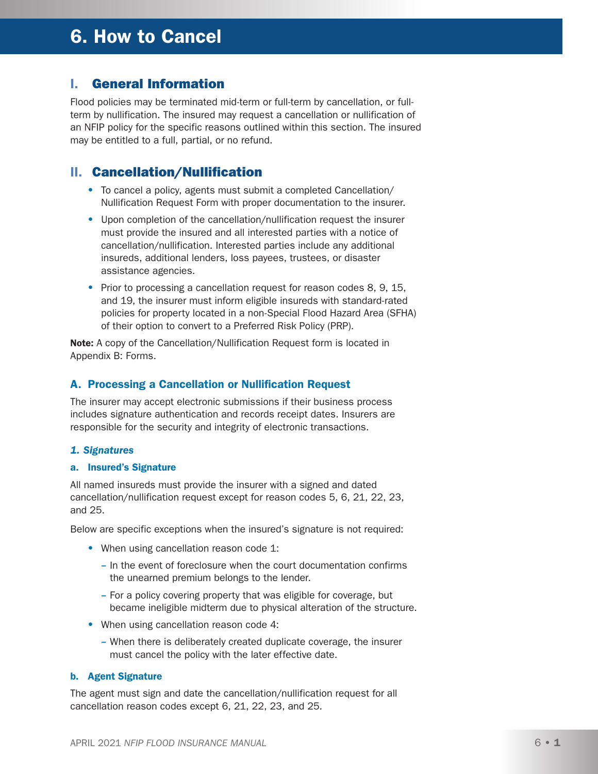# 6. How to Cancel

### I. General Information

Flood policies may be terminated mid-term or full-term by cancellation, or fullterm by nullification. The insured may request a cancellation or nullification of an NFIP policy for the specific reasons outlined within this section. The insured may be entitled to a full, partial, or no refund.

### II. Cancellation/Nullification

- To cancel a policy, agents must submit a completed Cancellation/ Nullification Request Form with proper documentation to the insurer.
- Upon completion of the cancellation/nullification request the insurer must provide the insured and all interested parties with a notice of cancellation/nullification. Interested parties include any additional insureds, additional lenders, loss payees, trustees, or disaster assistance agencies.
- Prior to processing a cancellation request for reason codes 8, 9, 15, and 19, the insurer must inform eligible insureds with standard-rated policies for property located in a non-Special Flood Hazard Area (SFHA) of their option to convert to a Preferred Risk Policy (PRP).

Note: A copy of the Cancellation/Nullification Request form is located in Appendix B: Forms.

#### A. Processing a Cancellation or Nullification Request

The insurer may accept electronic submissions if their business process includes signature authentication and records receipt dates. Insurers are responsible for the security and integrity of electronic transactions.

#### *1. Signatures*

#### a. Insured's Signature

All named insureds must provide the insurer with a signed and dated cancellation/nullification request except for reason codes 5, 6, 21, 22, 23, and 25.

Below are specific exceptions when the insured's signature is not required:

- When using cancellation reason code 1:
	- In the event of foreclosure when the court documentation confirms the unearned premium belongs to the lender.
	- For a policy covering property that was eligible for coverage, but became ineligible midterm due to physical alteration of the structure.
- When using cancellation reason code 4:
	- When there is deliberately created duplicate coverage, the insurer must cancel the policy with the later effective date.

#### b. Agent Signature

The agent must sign and date the cancellation/nullification request for all cancellation reason codes except 6, 21, 22, 23, and 25.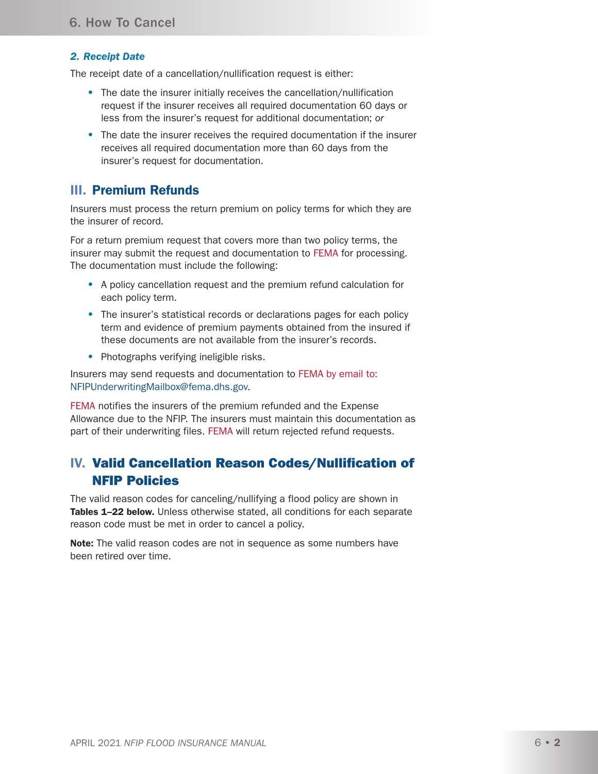#### *2. Receipt Date*

The receipt date of a cancellation/nullification request is either:

- The date the insurer initially receives the cancellation/nullification request if the insurer receives all required documentation 60 days or less from the insurer's request for additional documentation; *or*
- The date the insurer receives the required documentation if the insurer receives all required documentation more than 60 days from the insurer's request for documentation.

### III. Premium Refunds

Insurers must process the return premium on policy terms for which they are the insurer of record.

For a return premium request that covers more than two policy terms, the insurer may submit the request and documentation to FEMA for processing. The documentation must include the following:

- A policy cancellation request and the premium refund calculation for each policy term.
- The insurer's statistical records or declarations pages for each policy term and evidence of premium payments obtained from the insured if these documents are not available from the insurer's records.
- Photographs verifying ineligible risks.

Insurers may send requests and documentation to FEMA by email to: [NFIPUnderwritingMailbox@fema.dhs.gov](mailto:NFIPUnderwritingMailbox@fema.dhs.gov).

FEMA notifies the insurers of the premium refunded and the Expense Allowance due to the NFIP. The insurers must maintain this documentation as part of their underwriting files. FEMA will return rejected refund requests.

# IV. Valid Cancellation Reason Codes/Nullification of NFIP Policies

The valid reason codes for canceling/nullifying a flood policy are shown in Tables 1–22 below. Unless otherwise stated, all conditions for each separate reason code must be met in order to cancel a policy.

Note: The valid reason codes are not in sequence as some numbers have been retired over time.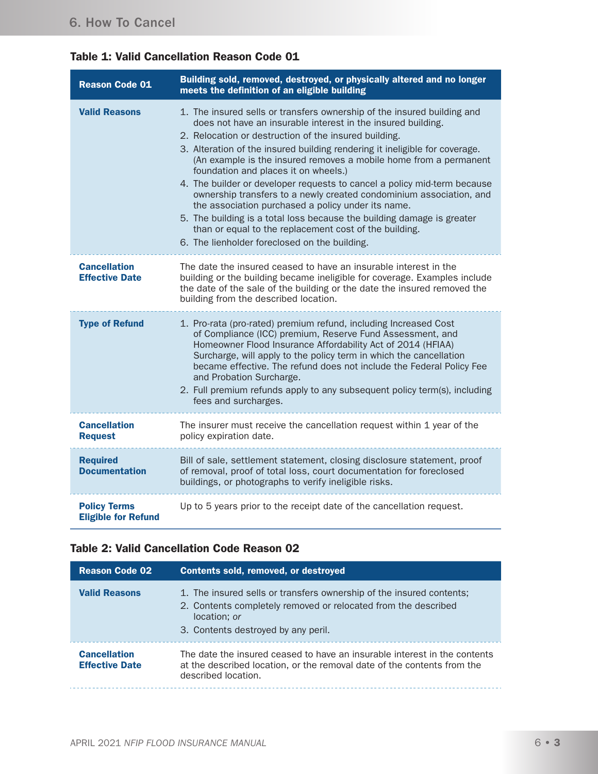# Table 1: Valid Cancellation Reason Code 01

| <b>Reason Code 01</b>                             | Building sold, removed, destroyed, or physically altered and no longer<br>meets the definition of an eligible building                                                                                                                                                                                                                                                                                                                                                                                                                                                                                                                                                                                                                                                                     |
|---------------------------------------------------|--------------------------------------------------------------------------------------------------------------------------------------------------------------------------------------------------------------------------------------------------------------------------------------------------------------------------------------------------------------------------------------------------------------------------------------------------------------------------------------------------------------------------------------------------------------------------------------------------------------------------------------------------------------------------------------------------------------------------------------------------------------------------------------------|
| <b>Valid Reasons</b>                              | 1. The insured sells or transfers ownership of the insured building and<br>does not have an insurable interest in the insured building.<br>2. Relocation or destruction of the insured building.<br>3. Alteration of the insured building rendering it ineligible for coverage.<br>(An example is the insured removes a mobile home from a permanent<br>foundation and places it on wheels.)<br>4. The builder or developer requests to cancel a policy mid-term because<br>ownership transfers to a newly created condominium association, and<br>the association purchased a policy under its name.<br>5. The building is a total loss because the building damage is greater<br>than or equal to the replacement cost of the building.<br>6. The lienholder foreclosed on the building. |
| <b>Cancellation</b><br><b>Effective Date</b>      | The date the insured ceased to have an insurable interest in the<br>building or the building became ineligible for coverage. Examples include<br>the date of the sale of the building or the date the insured removed the<br>building from the described location.                                                                                                                                                                                                                                                                                                                                                                                                                                                                                                                         |
| <b>Type of Refund</b>                             | 1. Pro-rata (pro-rated) premium refund, including Increased Cost<br>of Compliance (ICC) premium, Reserve Fund Assessment, and<br>Homeowner Flood Insurance Affordability Act of 2014 (HFIAA)<br>Surcharge, will apply to the policy term in which the cancellation<br>became effective. The refund does not include the Federal Policy Fee<br>and Probation Surcharge.<br>2. Full premium refunds apply to any subsequent policy term(s), including<br>fees and surcharges.                                                                                                                                                                                                                                                                                                                |
| <b>Cancellation</b><br><b>Request</b>             | The insurer must receive the cancellation request within 1 year of the<br>policy expiration date.                                                                                                                                                                                                                                                                                                                                                                                                                                                                                                                                                                                                                                                                                          |
| <b>Required</b><br><b>Documentation</b>           | Bill of sale, settlement statement, closing disclosure statement, proof<br>of removal, proof of total loss, court documentation for foreclosed<br>buildings, or photographs to verify ineligible risks.                                                                                                                                                                                                                                                                                                                                                                                                                                                                                                                                                                                    |
| <b>Policy Terms</b><br><b>Eligible for Refund</b> | Up to 5 years prior to the receipt date of the cancellation request.                                                                                                                                                                                                                                                                                                                                                                                                                                                                                                                                                                                                                                                                                                                       |

### Table 2: Valid Cancellation Code Reason 02

| <b>Reason Code 02</b>                        | <b>Contents sold, removed, or destroyed</b>                                                                                                                                                   |
|----------------------------------------------|-----------------------------------------------------------------------------------------------------------------------------------------------------------------------------------------------|
| <b>Valid Reasons</b>                         | 1. The insured sells or transfers ownership of the insured contents;<br>2. Contents completely removed or relocated from the described<br>location; or<br>3. Contents destroyed by any peril. |
| <b>Cancellation</b><br><b>Effective Date</b> | The date the insured ceased to have an insurable interest in the contents<br>at the described location, or the removal date of the contents from the<br>described location.                   |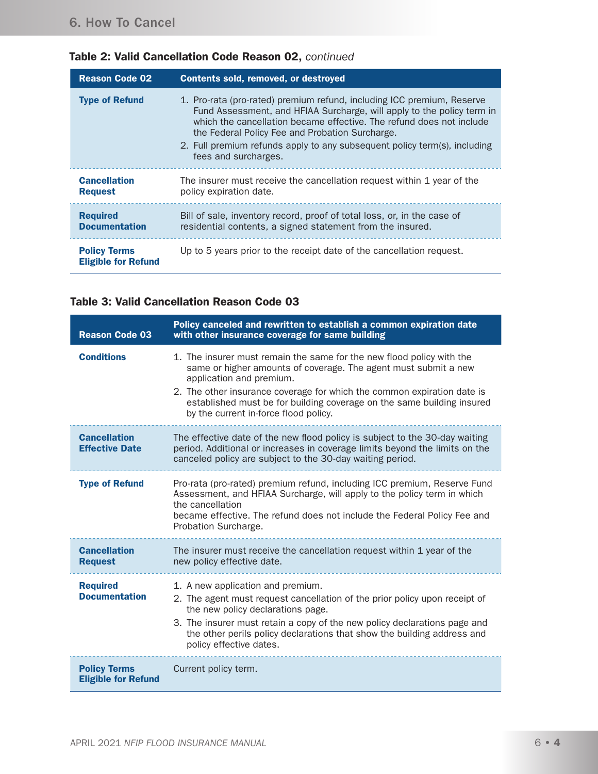| <b>Reason Code 02</b>                             | <b>Contents sold, removed, or destroyed</b>                                                                                                                                                                                                                                                                                                                                      |  |  |
|---------------------------------------------------|----------------------------------------------------------------------------------------------------------------------------------------------------------------------------------------------------------------------------------------------------------------------------------------------------------------------------------------------------------------------------------|--|--|
| <b>Type of Refund</b>                             | 1. Pro-rata (pro-rated) premium refund, including ICC premium, Reserve<br>Fund Assessment, and HFIAA Surcharge, will apply to the policy term in<br>which the cancellation became effective. The refund does not include<br>the Federal Policy Fee and Probation Surcharge.<br>2. Full premium refunds apply to any subsequent policy term(s), including<br>fees and surcharges. |  |  |
| <b>Cancellation</b><br><b>Request</b>             | The insurer must receive the cancellation request within 1 year of the<br>policy expiration date.                                                                                                                                                                                                                                                                                |  |  |
| <b>Required</b><br><b>Documentation</b>           | Bill of sale, inventory record, proof of total loss, or, in the case of<br>residential contents, a signed statement from the insured.                                                                                                                                                                                                                                            |  |  |
| <b>Policy Terms</b><br><b>Eligible for Refund</b> | Up to 5 years prior to the receipt date of the cancellation request.                                                                                                                                                                                                                                                                                                             |  |  |

# Table 2: Valid Cancellation Code Reason 02, *continued*

#### Table 3: Valid Cancellation Reason Code 03

| <b>Reason Code 03</b>                             | Policy canceled and rewritten to establish a common expiration date<br>with other insurance coverage for same building                                                                                                                                                                                                                                             |
|---------------------------------------------------|--------------------------------------------------------------------------------------------------------------------------------------------------------------------------------------------------------------------------------------------------------------------------------------------------------------------------------------------------------------------|
| <b>Conditions</b>                                 | 1. The insurer must remain the same for the new flood policy with the<br>same or higher amounts of coverage. The agent must submit a new<br>application and premium.<br>2. The other insurance coverage for which the common expiration date is<br>established must be for building coverage on the same building insured<br>by the current in-force flood policy. |
| <b>Cancellation</b><br><b>Effective Date</b>      | The effective date of the new flood policy is subject to the 30-day waiting<br>period. Additional or increases in coverage limits beyond the limits on the<br>canceled policy are subject to the 30-day waiting period.                                                                                                                                            |
| <b>Type of Refund</b>                             | Pro-rata (pro-rated) premium refund, including ICC premium, Reserve Fund<br>Assessment, and HFIAA Surcharge, will apply to the policy term in which<br>the cancellation<br>became effective. The refund does not include the Federal Policy Fee and<br>Probation Surcharge.                                                                                        |
| <b>Cancellation</b><br><b>Request</b>             | The insurer must receive the cancellation request within 1 year of the<br>new policy effective date.                                                                                                                                                                                                                                                               |
| <b>Required</b><br><b>Documentation</b>           | 1. A new application and premium.<br>2. The agent must request cancellation of the prior policy upon receipt of<br>the new policy declarations page.<br>3. The insurer must retain a copy of the new policy declarations page and<br>the other perils policy declarations that show the building address and<br>policy effective dates.                            |
| <b>Policy Terms</b><br><b>Eligible for Refund</b> | Current policy term.                                                                                                                                                                                                                                                                                                                                               |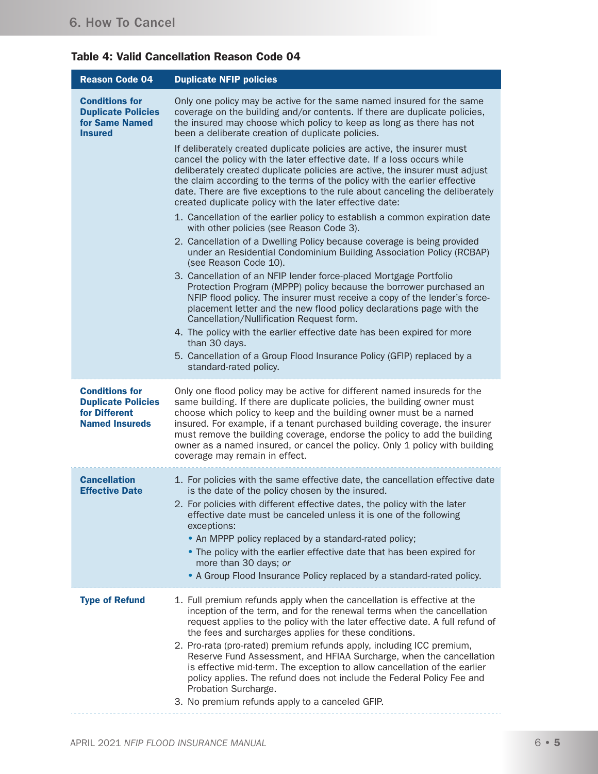# Table 4: Valid Cancellation Reason Code 04

| <b>Reason Code 04</b>                                                                        | <b>Duplicate NFIP policies</b>                                                                                                                                                                                                                                                                                                                                                                                                                                                                                                                                                                                                                                                |
|----------------------------------------------------------------------------------------------|-------------------------------------------------------------------------------------------------------------------------------------------------------------------------------------------------------------------------------------------------------------------------------------------------------------------------------------------------------------------------------------------------------------------------------------------------------------------------------------------------------------------------------------------------------------------------------------------------------------------------------------------------------------------------------|
| <b>Conditions for</b><br><b>Duplicate Policies</b><br>for Same Named<br><b>Insured</b>       | Only one policy may be active for the same named insured for the same<br>coverage on the building and/or contents. If there are duplicate policies,<br>the insured may choose which policy to keep as long as there has not<br>been a deliberate creation of duplicate policies.                                                                                                                                                                                                                                                                                                                                                                                              |
|                                                                                              | If deliberately created duplicate policies are active, the insurer must<br>cancel the policy with the later effective date. If a loss occurs while<br>deliberately created duplicate policies are active, the insurer must adjust<br>the claim according to the terms of the policy with the earlier effective<br>date. There are five exceptions to the rule about canceling the deliberately<br>created duplicate policy with the later effective date:                                                                                                                                                                                                                     |
|                                                                                              | 1. Cancellation of the earlier policy to establish a common expiration date<br>with other policies (see Reason Code 3).                                                                                                                                                                                                                                                                                                                                                                                                                                                                                                                                                       |
|                                                                                              | 2. Cancellation of a Dwelling Policy because coverage is being provided<br>under an Residential Condominium Building Association Policy (RCBAP)<br>(see Reason Code 10).                                                                                                                                                                                                                                                                                                                                                                                                                                                                                                      |
|                                                                                              | 3. Cancellation of an NFIP lender force-placed Mortgage Portfolio<br>Protection Program (MPPP) policy because the borrower purchased an<br>NFIP flood policy. The insurer must receive a copy of the lender's force-<br>placement letter and the new flood policy declarations page with the<br>Cancellation/Nullification Request form.                                                                                                                                                                                                                                                                                                                                      |
|                                                                                              | 4. The policy with the earlier effective date has been expired for more<br>than 30 days.                                                                                                                                                                                                                                                                                                                                                                                                                                                                                                                                                                                      |
|                                                                                              | 5. Cancellation of a Group Flood Insurance Policy (GFIP) replaced by a<br>standard-rated policy.                                                                                                                                                                                                                                                                                                                                                                                                                                                                                                                                                                              |
| <b>Conditions for</b><br><b>Duplicate Policies</b><br>for Different<br><b>Named Insureds</b> | Only one flood policy may be active for different named insureds for the<br>same building. If there are duplicate policies, the building owner must<br>choose which policy to keep and the building owner must be a named<br>insured. For example, if a tenant purchased building coverage, the insurer<br>must remove the building coverage, endorse the policy to add the building<br>owner as a named insured, or cancel the policy. Only 1 policy with building<br>coverage may remain in effect.                                                                                                                                                                         |
| <b>Cancellation</b><br><b>Effective Date</b>                                                 | 1. For policies with the same effective date, the cancellation effective date<br>is the date of the policy chosen by the insured.<br>2. For policies with different effective dates, the policy with the later<br>effective date must be canceled unless it is one of the following<br>exceptions:<br>• An MPPP policy replaced by a standard-rated policy;<br>• The policy with the earlier effective date that has been expired for<br>more than 30 days; or                                                                                                                                                                                                                |
|                                                                                              | • A Group Flood Insurance Policy replaced by a standard-rated policy.                                                                                                                                                                                                                                                                                                                                                                                                                                                                                                                                                                                                         |
| <b>Type of Refund</b>                                                                        | 1. Full premium refunds apply when the cancellation is effective at the<br>inception of the term, and for the renewal terms when the cancellation<br>request applies to the policy with the later effective date. A full refund of<br>the fees and surcharges applies for these conditions.<br>2. Pro-rata (pro-rated) premium refunds apply, including ICC premium,<br>Reserve Fund Assessment, and HFIAA Surcharge, when the cancellation<br>is effective mid-term. The exception to allow cancellation of the earlier<br>policy applies. The refund does not include the Federal Policy Fee and<br>Probation Surcharge.<br>3. No premium refunds apply to a canceled GFIP. |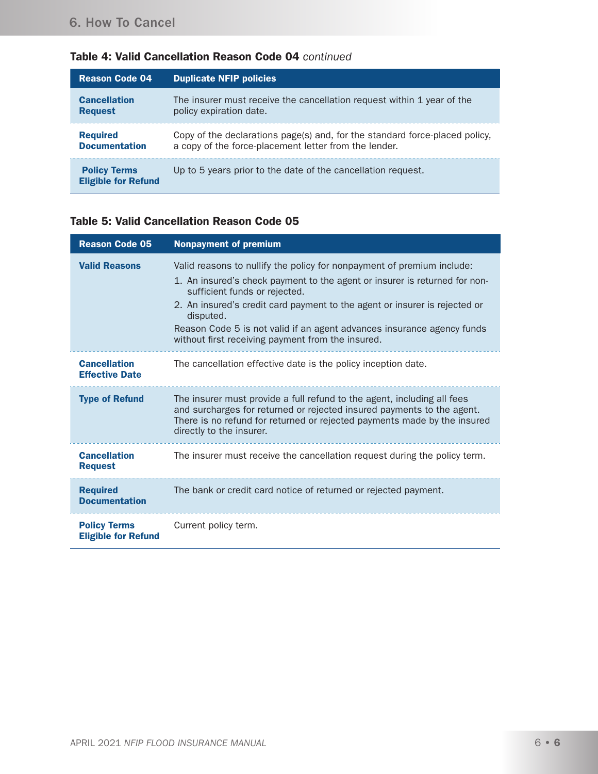| <b>Reason Code 04</b>                             | <b>Duplicate NFIP policies</b>                                              |
|---------------------------------------------------|-----------------------------------------------------------------------------|
| <b>Cancellation</b>                               | The insurer must receive the cancellation request within 1 year of the      |
| <b>Request</b>                                    | policy expiration date.                                                     |
| <b>Required</b>                                   | Copy of the declarations page(s) and, for the standard force-placed policy, |
| <b>Documentation</b>                              | a copy of the force-placement letter from the lender.                       |
| <b>Policy Terms</b><br><b>Eligible for Refund</b> | Up to 5 years prior to the date of the cancellation request.                |

# Table 4: Valid Cancellation Reason Code 04 *continued*

#### Table 5: Valid Cancellation Reason Code 05

| <b>Reason Code 05</b>                             | <b>Nonpayment of premium</b>                                                                                                                                                                                                                                                                                                                                                                                    |
|---------------------------------------------------|-----------------------------------------------------------------------------------------------------------------------------------------------------------------------------------------------------------------------------------------------------------------------------------------------------------------------------------------------------------------------------------------------------------------|
| <b>Valid Reasons</b>                              | Valid reasons to nullify the policy for nonpayment of premium include:<br>1. An insured's check payment to the agent or insurer is returned for non-<br>sufficient funds or rejected.<br>2. An insured's credit card payment to the agent or insurer is rejected or<br>disputed.<br>Reason Code 5 is not valid if an agent advances insurance agency funds<br>without first receiving payment from the insured. |
| <b>Cancellation</b><br><b>Effective Date</b>      | The cancellation effective date is the policy inception date.                                                                                                                                                                                                                                                                                                                                                   |
| <b>Type of Refund</b>                             | The insurer must provide a full refund to the agent, including all fees<br>and surcharges for returned or rejected insured payments to the agent.<br>There is no refund for returned or rejected payments made by the insured<br>directly to the insurer.                                                                                                                                                       |
| <b>Cancellation</b><br><b>Request</b>             | The insurer must receive the cancellation request during the policy term.                                                                                                                                                                                                                                                                                                                                       |
| <b>Required</b><br><b>Documentation</b>           | The bank or credit card notice of returned or rejected payment.                                                                                                                                                                                                                                                                                                                                                 |
| <b>Policy Terms</b><br><b>Eligible for Refund</b> | Current policy term.                                                                                                                                                                                                                                                                                                                                                                                            |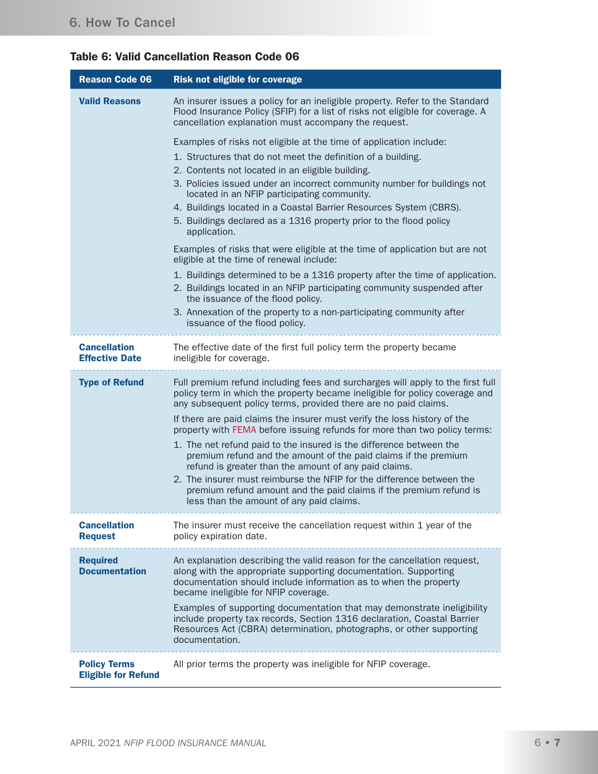|  |  | <b>Table 6: Valid Cancellation Reason Code 06</b> |  |  |  |
|--|--|---------------------------------------------------|--|--|--|
|--|--|---------------------------------------------------|--|--|--|

| <b>Reason Code 06</b>                             | <b>Risk not eligible for coverage</b>                                                                                                                                                                                                                                                                                                                                                                                                                                                                                                                                                                                                                                                                                                                                                   |
|---------------------------------------------------|-----------------------------------------------------------------------------------------------------------------------------------------------------------------------------------------------------------------------------------------------------------------------------------------------------------------------------------------------------------------------------------------------------------------------------------------------------------------------------------------------------------------------------------------------------------------------------------------------------------------------------------------------------------------------------------------------------------------------------------------------------------------------------------------|
| <b>Valid Reasons</b>                              | An insurer issues a policy for an ineligible property. Refer to the Standard<br>Flood Insurance Policy (SFIP) for a list of risks not eligible for coverage. A<br>cancellation explanation must accompany the request.                                                                                                                                                                                                                                                                                                                                                                                                                                                                                                                                                                  |
|                                                   | Examples of risks not eligible at the time of application include:                                                                                                                                                                                                                                                                                                                                                                                                                                                                                                                                                                                                                                                                                                                      |
|                                                   | 1. Structures that do not meet the definition of a building.                                                                                                                                                                                                                                                                                                                                                                                                                                                                                                                                                                                                                                                                                                                            |
|                                                   | 2. Contents not located in an eligible building.<br>3. Policies issued under an incorrect community number for buildings not<br>located in an NFIP participating community.                                                                                                                                                                                                                                                                                                                                                                                                                                                                                                                                                                                                             |
|                                                   | 4. Buildings located in a Coastal Barrier Resources System (CBRS).<br>5. Buildings declared as a 1316 property prior to the flood policy<br>application.                                                                                                                                                                                                                                                                                                                                                                                                                                                                                                                                                                                                                                |
|                                                   | Examples of risks that were eligible at the time of application but are not<br>eligible at the time of renewal include:                                                                                                                                                                                                                                                                                                                                                                                                                                                                                                                                                                                                                                                                 |
|                                                   | 1. Buildings determined to be a 1316 property after the time of application.<br>2. Buildings located in an NFIP participating community suspended after<br>the issuance of the flood policy.                                                                                                                                                                                                                                                                                                                                                                                                                                                                                                                                                                                            |
|                                                   | 3. Annexation of the property to a non-participating community after<br>issuance of the flood policy.                                                                                                                                                                                                                                                                                                                                                                                                                                                                                                                                                                                                                                                                                   |
| <b>Cancellation</b><br><b>Effective Date</b>      | The effective date of the first full policy term the property became<br>ineligible for coverage.                                                                                                                                                                                                                                                                                                                                                                                                                                                                                                                                                                                                                                                                                        |
| <b>Type of Refund</b>                             | Full premium refund including fees and surcharges will apply to the first full<br>policy term in which the property became ineligible for policy coverage and<br>any subsequent policy terms, provided there are no paid claims.<br>If there are paid claims the insurer must verify the loss history of the<br>property with FEMA before issuing refunds for more than two policy terms:<br>1. The net refund paid to the insured is the difference between the<br>premium refund and the amount of the paid claims if the premium<br>refund is greater than the amount of any paid claims.<br>2. The insurer must reimburse the NFIP for the difference between the<br>premium refund amount and the paid claims if the premium refund is<br>less than the amount of any paid claims. |
| <b>Cancellation</b><br><b>Request</b>             | The insurer must receive the cancellation request within 1 year of the<br>policy expiration date.                                                                                                                                                                                                                                                                                                                                                                                                                                                                                                                                                                                                                                                                                       |
| <b>Required</b><br><b>Documentation</b>           | An explanation describing the valid reason for the cancellation request,<br>along with the appropriate supporting documentation. Supporting<br>documentation should include information as to when the property<br>became ineligible for NFIP coverage.<br>Examples of supporting documentation that may demonstrate ineligibility<br>include property tax records, Section 1316 declaration, Coastal Barrier<br>Resources Act (CBRA) determination, photographs, or other supporting                                                                                                                                                                                                                                                                                                   |
|                                                   | documentation.                                                                                                                                                                                                                                                                                                                                                                                                                                                                                                                                                                                                                                                                                                                                                                          |
| <b>Policy Terms</b><br><b>Eligible for Refund</b> | All prior terms the property was ineligible for NFIP coverage.                                                                                                                                                                                                                                                                                                                                                                                                                                                                                                                                                                                                                                                                                                                          |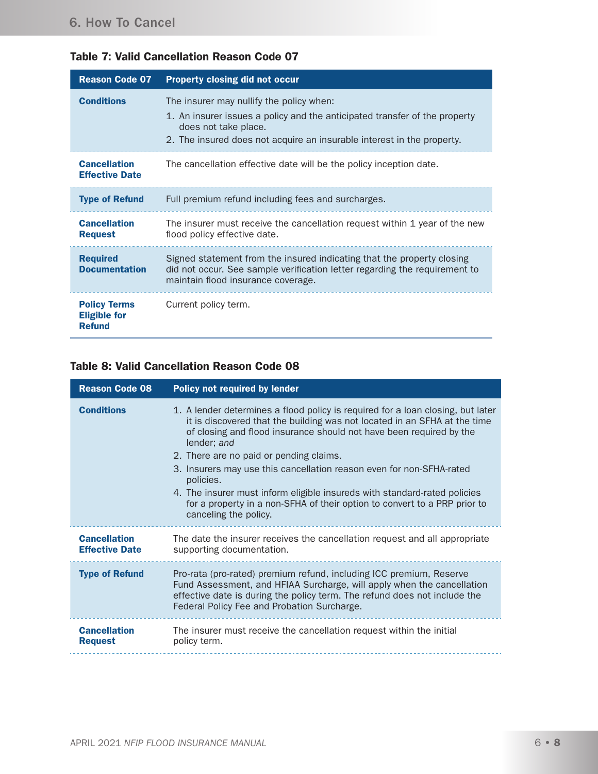|  |  |  | <b>Table 7: Valid Cancellation Reason Code 07</b> |  |  |  |
|--|--|--|---------------------------------------------------|--|--|--|
|--|--|--|---------------------------------------------------|--|--|--|

| <b>Reason Code 07</b>                                       | <b>Property closing did not occur</b>                                                                                                                                                                                    |
|-------------------------------------------------------------|--------------------------------------------------------------------------------------------------------------------------------------------------------------------------------------------------------------------------|
| <b>Conditions</b>                                           | The insurer may nullify the policy when:<br>1. An insurer issues a policy and the anticipated transfer of the property<br>does not take place.<br>2. The insured does not acquire an insurable interest in the property. |
| <b>Cancellation</b><br><b>Effective Date</b>                | The cancellation effective date will be the policy inception date.                                                                                                                                                       |
| <b>Type of Refund</b>                                       | Full premium refund including fees and surcharges.                                                                                                                                                                       |
| <b>Cancellation</b><br><b>Request</b>                       | The insurer must receive the cancellation request within 1 year of the new<br>flood policy effective date.                                                                                                               |
| <b>Required</b><br><b>Documentation</b>                     | Signed statement from the insured indicating that the property closing<br>did not occur. See sample verification letter regarding the requirement to<br>maintain flood insurance coverage.                               |
| <b>Policy Terms</b><br><b>Eligible for</b><br><b>Refund</b> | Current policy term.                                                                                                                                                                                                     |

### Table 8: Valid Cancellation Reason Code 08

| <b>Reason Code 08</b>                        | <b>Policy not required by lender</b>                                                                                                                                                                                                                                                                                                                                                                                                                                                                                                                                  |
|----------------------------------------------|-----------------------------------------------------------------------------------------------------------------------------------------------------------------------------------------------------------------------------------------------------------------------------------------------------------------------------------------------------------------------------------------------------------------------------------------------------------------------------------------------------------------------------------------------------------------------|
| <b>Conditions</b>                            | 1. A lender determines a flood policy is required for a loan closing, but later<br>it is discovered that the building was not located in an SFHA at the time<br>of closing and flood insurance should not have been required by the<br>lender; and<br>2. There are no paid or pending claims.<br>3. Insurers may use this cancellation reason even for non-SFHA-rated<br>policies.<br>4. The insurer must inform eligible insureds with standard-rated policies<br>for a property in a non-SFHA of their option to convert to a PRP prior to<br>canceling the policy. |
| <b>Cancellation</b><br><b>Effective Date</b> | The date the insurer receives the cancellation request and all appropriate<br>supporting documentation.                                                                                                                                                                                                                                                                                                                                                                                                                                                               |
| <b>Type of Refund</b>                        | Pro-rata (pro-rated) premium refund, including ICC premium, Reserve<br>Fund Assessment, and HFIAA Surcharge, will apply when the cancellation<br>effective date is during the policy term. The refund does not include the<br>Federal Policy Fee and Probation Surcharge.                                                                                                                                                                                                                                                                                             |
| <b>Cancellation</b><br><b>Request</b>        | The insurer must receive the cancellation request within the initial<br>policy term.                                                                                                                                                                                                                                                                                                                                                                                                                                                                                  |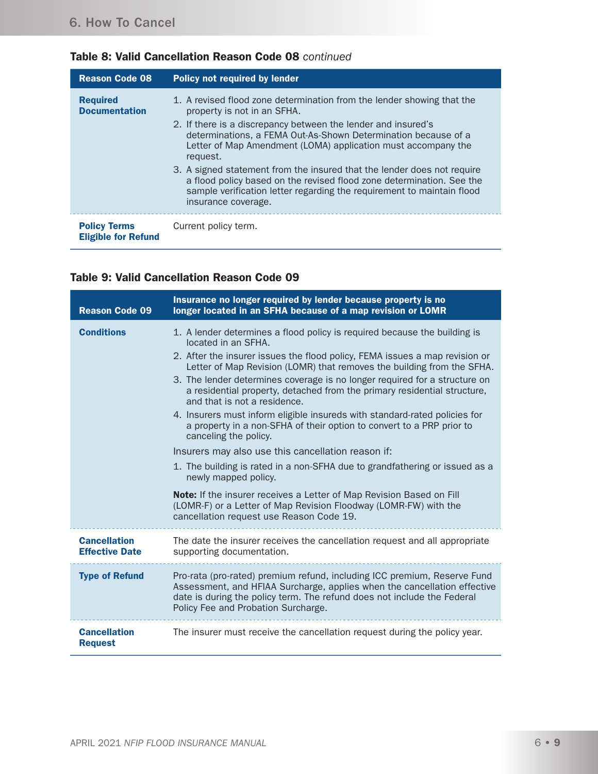|  | Table 8: Valid Cancellation Reason Code 08 continued |  |  |
|--|------------------------------------------------------|--|--|
|--|------------------------------------------------------|--|--|

| <b>Reason Code 08</b>                             | <b>Policy not required by lender</b>                                                                                                                                                                                                              |
|---------------------------------------------------|---------------------------------------------------------------------------------------------------------------------------------------------------------------------------------------------------------------------------------------------------|
| <b>Required</b><br><b>Documentation</b>           | 1. A revised flood zone determination from the lender showing that the<br>property is not in an SFHA.                                                                                                                                             |
|                                                   | 2. If there is a discrepancy between the lender and insured's<br>determinations, a FEMA Out-As-Shown Determination because of a<br>Letter of Map Amendment (LOMA) application must accompany the<br>request.                                      |
|                                                   | 3. A signed statement from the insured that the lender does not require<br>a flood policy based on the revised flood zone determination. See the<br>sample verification letter regarding the requirement to maintain flood<br>insurance coverage. |
| <b>Policy Terms</b><br><b>Eligible for Refund</b> | Current policy term.                                                                                                                                                                                                                              |

### Table 9: Valid Cancellation Reason Code 09

| <b>Reason Code 09</b>                        | Insurance no longer required by lender because property is no<br>longer located in an SFHA because of a map revision or LOMR                                                                                                                                                                                                                                                                                                                                                                                                                                                                                                        |
|----------------------------------------------|-------------------------------------------------------------------------------------------------------------------------------------------------------------------------------------------------------------------------------------------------------------------------------------------------------------------------------------------------------------------------------------------------------------------------------------------------------------------------------------------------------------------------------------------------------------------------------------------------------------------------------------|
| <b>Conditions</b>                            | 1. A lender determines a flood policy is required because the building is<br>located in an SFHA.<br>2. After the insurer issues the flood policy, FEMA issues a map revision or<br>Letter of Map Revision (LOMR) that removes the building from the SFHA.<br>3. The lender determines coverage is no longer required for a structure on<br>a residential property, detached from the primary residential structure,<br>and that is not a residence.<br>4. Insurers must inform eligible insureds with standard-rated policies for<br>a property in a non-SFHA of their option to convert to a PRP prior to<br>canceling the policy. |
|                                              | Insurers may also use this cancellation reason if:<br>1. The building is rated in a non-SFHA due to grandfathering or issued as a<br>newly mapped policy.<br>Note: If the insurer receives a Letter of Map Revision Based on Fill<br>(LOMR-F) or a Letter of Map Revision Floodway (LOMR-FW) with the<br>cancellation request use Reason Code 19.                                                                                                                                                                                                                                                                                   |
| <b>Cancellation</b><br><b>Effective Date</b> | The date the insurer receives the cancellation request and all appropriate<br>supporting documentation.                                                                                                                                                                                                                                                                                                                                                                                                                                                                                                                             |
| <b>Type of Refund</b>                        | Pro-rata (pro-rated) premium refund, including ICC premium, Reserve Fund<br>Assessment, and HFIAA Surcharge, applies when the cancellation effective<br>date is during the policy term. The refund does not include the Federal<br>Policy Fee and Probation Surcharge.                                                                                                                                                                                                                                                                                                                                                              |
| <b>Cancellation</b><br><b>Request</b>        | The insurer must receive the cancellation request during the policy year.                                                                                                                                                                                                                                                                                                                                                                                                                                                                                                                                                           |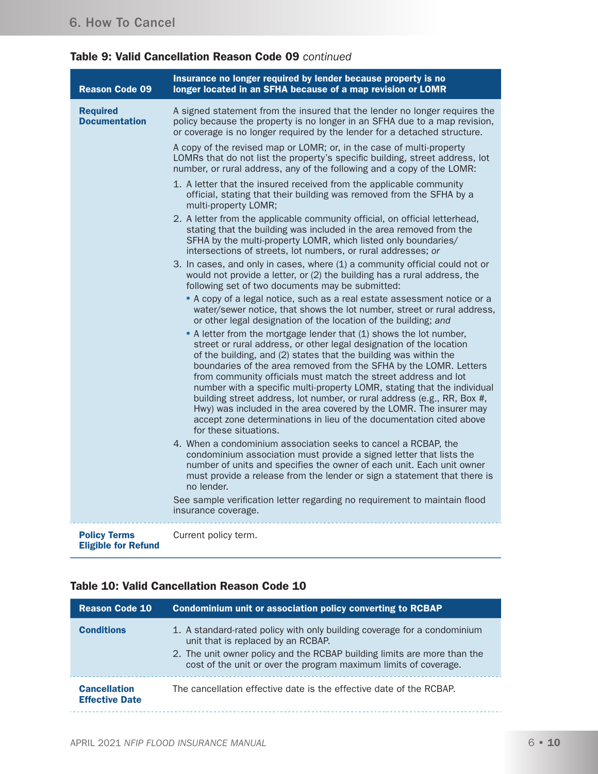# Table 9: Valid Cancellation Reason Code 09 *continued*

| <b>Reason Code 09</b>                             | Insurance no longer required by lender because property is no<br>longer located in an SFHA because of a map revision or LOMR                                                                                                                                                                                                                                                                                                                                                                                                                                                                                                                                                     |
|---------------------------------------------------|----------------------------------------------------------------------------------------------------------------------------------------------------------------------------------------------------------------------------------------------------------------------------------------------------------------------------------------------------------------------------------------------------------------------------------------------------------------------------------------------------------------------------------------------------------------------------------------------------------------------------------------------------------------------------------|
| <b>Required</b><br><b>Documentation</b>           | A signed statement from the insured that the lender no longer requires the<br>policy because the property is no longer in an SFHA due to a map revision,<br>or coverage is no longer required by the lender for a detached structure.                                                                                                                                                                                                                                                                                                                                                                                                                                            |
|                                                   | A copy of the revised map or LOMR; or, in the case of multi-property<br>LOMRs that do not list the property's specific building, street address, lot<br>number, or rural address, any of the following and a copy of the LOMR:                                                                                                                                                                                                                                                                                                                                                                                                                                                   |
|                                                   | 1. A letter that the insured received from the applicable community<br>official, stating that their building was removed from the SFHA by a<br>multi-property LOMR;                                                                                                                                                                                                                                                                                                                                                                                                                                                                                                              |
|                                                   | 2. A letter from the applicable community official, on official letterhead,<br>stating that the building was included in the area removed from the<br>SFHA by the multi-property LOMR, which listed only boundaries/<br>intersections of streets, lot numbers, or rural addresses; or                                                                                                                                                                                                                                                                                                                                                                                            |
|                                                   | 3. In cases, and only in cases, where (1) a community official could not or<br>would not provide a letter, or (2) the building has a rural address, the<br>following set of two documents may be submitted:                                                                                                                                                                                                                                                                                                                                                                                                                                                                      |
|                                                   | • A copy of a legal notice, such as a real estate assessment notice or a<br>water/sewer notice, that shows the lot number, street or rural address,<br>or other legal designation of the location of the building; and                                                                                                                                                                                                                                                                                                                                                                                                                                                           |
|                                                   | • A letter from the mortgage lender that (1) shows the lot number,<br>street or rural address, or other legal designation of the location<br>of the building, and (2) states that the building was within the<br>boundaries of the area removed from the SFHA by the LOMR. Letters<br>from community officials must match the street address and lot<br>number with a specific multi-property LOMR, stating that the individual<br>building street address, lot number, or rural address (e.g., RR, Box #,<br>Hwy) was included in the area covered by the LOMR. The insurer may<br>accept zone determinations in lieu of the documentation cited above<br>for these situations. |
|                                                   | 4. When a condominium association seeks to cancel a RCBAP, the<br>condominium association must provide a signed letter that lists the<br>number of units and specifies the owner of each unit. Each unit owner<br>must provide a release from the lender or sign a statement that there is<br>no lender.                                                                                                                                                                                                                                                                                                                                                                         |
|                                                   | See sample verification letter regarding no requirement to maintain flood<br>insurance coverage.                                                                                                                                                                                                                                                                                                                                                                                                                                                                                                                                                                                 |
| <b>Policy Terms</b><br><b>Eligible for Refund</b> | Current policy term.                                                                                                                                                                                                                                                                                                                                                                                                                                                                                                                                                                                                                                                             |

### Table 10: Valid Cancellation Reason Code 10

| <b>Reason Code 10</b>                        | Condominium unit or association policy converting to RCBAP                                                                                                                                                                                                     |
|----------------------------------------------|----------------------------------------------------------------------------------------------------------------------------------------------------------------------------------------------------------------------------------------------------------------|
| <b>Conditions</b>                            | 1. A standard-rated policy with only building coverage for a condominium<br>unit that is replaced by an RCBAP.<br>2. The unit owner policy and the RCBAP building limits are more than the<br>cost of the unit or over the program maximum limits of coverage. |
| <b>Cancellation</b><br><b>Effective Date</b> | The cancellation effective date is the effective date of the RCBAP.                                                                                                                                                                                            |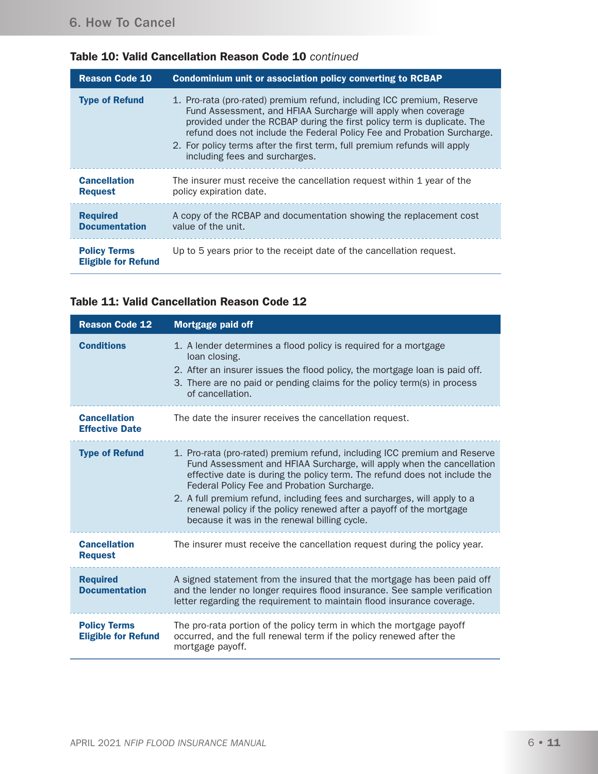| <b>Reason Code 10</b>                             | Condominium unit or association policy converting to RCBAP                                                                                                                                                                                                                                                                                                                                                   |
|---------------------------------------------------|--------------------------------------------------------------------------------------------------------------------------------------------------------------------------------------------------------------------------------------------------------------------------------------------------------------------------------------------------------------------------------------------------------------|
| <b>Type of Refund</b>                             | 1. Pro-rata (pro-rated) premium refund, including ICC premium, Reserve<br>Fund Assessment, and HFIAA Surcharge will apply when coverage<br>provided under the RCBAP during the first policy term is duplicate. The<br>refund does not include the Federal Policy Fee and Probation Surcharge.<br>2. For policy terms after the first term, full premium refunds will apply<br>including fees and surcharges. |
| <b>Cancellation</b><br><b>Request</b>             | The insurer must receive the cancellation request within 1 year of the<br>policy expiration date.                                                                                                                                                                                                                                                                                                            |
| <b>Required</b><br><b>Documentation</b>           | A copy of the RCBAP and documentation showing the replacement cost<br>value of the unit.                                                                                                                                                                                                                                                                                                                     |
| <b>Policy Terms</b><br><b>Eligible for Refund</b> | Up to 5 years prior to the receipt date of the cancellation request.                                                                                                                                                                                                                                                                                                                                         |

# Table 10: Valid Cancellation Reason Code 10 *continued*

#### Table 11: Valid Cancellation Reason Code 12

| <b>Reason Code 12</b>                             | <b>Mortgage paid off</b>                                                                                                                                                                                                                                                                                                                                                                                                                                                          |
|---------------------------------------------------|-----------------------------------------------------------------------------------------------------------------------------------------------------------------------------------------------------------------------------------------------------------------------------------------------------------------------------------------------------------------------------------------------------------------------------------------------------------------------------------|
| <b>Conditions</b>                                 | 1. A lender determines a flood policy is required for a mortgage<br>loan closing.<br>2. After an insurer issues the flood policy, the mortgage loan is paid off.<br>3. There are no paid or pending claims for the policy term(s) in process<br>of cancellation.                                                                                                                                                                                                                  |
| <b>Cancellation</b><br><b>Effective Date</b>      | The date the insurer receives the cancellation request.                                                                                                                                                                                                                                                                                                                                                                                                                           |
| <b>Type of Refund</b>                             | 1. Pro-rata (pro-rated) premium refund, including ICC premium and Reserve<br>Fund Assessment and HFIAA Surcharge, will apply when the cancellation<br>effective date is during the policy term. The refund does not include the<br>Federal Policy Fee and Probation Surcharge.<br>2. A full premium refund, including fees and surcharges, will apply to a<br>renewal policy if the policy renewed after a payoff of the mortgage<br>because it was in the renewal billing cycle. |
| <b>Cancellation</b><br><b>Request</b>             | The insurer must receive the cancellation request during the policy year.                                                                                                                                                                                                                                                                                                                                                                                                         |
| <b>Required</b><br><b>Documentation</b>           | A signed statement from the insured that the mortgage has been paid off<br>and the lender no longer requires flood insurance. See sample verification<br>letter regarding the requirement to maintain flood insurance coverage.                                                                                                                                                                                                                                                   |
| <b>Policy Terms</b><br><b>Eligible for Refund</b> | The pro-rata portion of the policy term in which the mortgage payoff<br>occurred, and the full renewal term if the policy renewed after the<br>mortgage payoff.                                                                                                                                                                                                                                                                                                                   |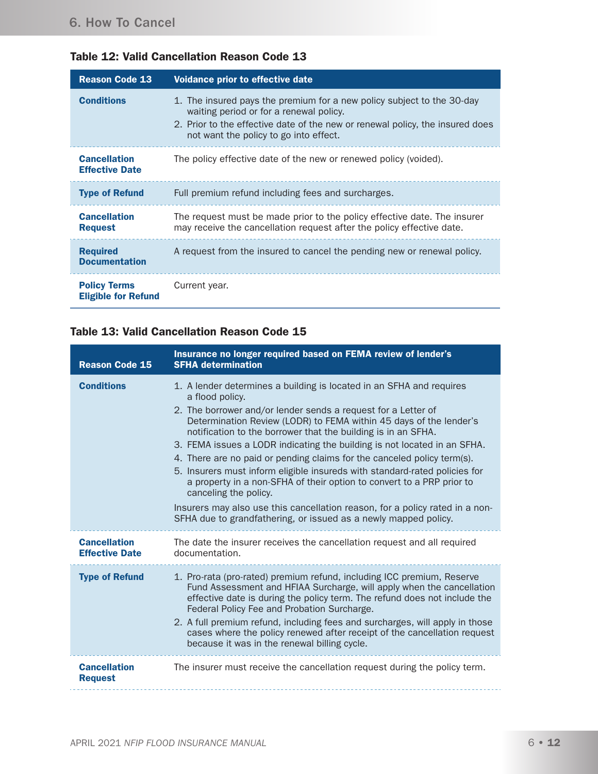| <b>Table 12: Valid Cancellation Reason Code 13</b> |  |  |  |  |
|----------------------------------------------------|--|--|--|--|
|----------------------------------------------------|--|--|--|--|

| <b>Reason Code 13</b>                             | Voidance prior to effective date                                                                                                                                                                                                             |
|---------------------------------------------------|----------------------------------------------------------------------------------------------------------------------------------------------------------------------------------------------------------------------------------------------|
| <b>Conditions</b>                                 | 1. The insured pays the premium for a new policy subject to the 30-day<br>waiting period or for a renewal policy.<br>2. Prior to the effective date of the new or renewal policy, the insured does<br>not want the policy to go into effect. |
| <b>Cancellation</b><br><b>Effective Date</b>      | The policy effective date of the new or renewed policy (voided).                                                                                                                                                                             |
| <b>Type of Refund</b>                             | Full premium refund including fees and surcharges.                                                                                                                                                                                           |
| <b>Cancellation</b><br><b>Request</b>             | The request must be made prior to the policy effective date. The insurer<br>may receive the cancellation request after the policy effective date.                                                                                            |
| <b>Required</b><br><b>Documentation</b>           | A request from the insured to cancel the pending new or renewal policy.                                                                                                                                                                      |
| <b>Policy Terms</b><br><b>Eligible for Refund</b> | Current year.                                                                                                                                                                                                                                |

### Table 13: Valid Cancellation Reason Code 15

| <b>Reason Code 15</b>                        | Insurance no longer required based on FEMA review of lender's<br><b>SFHA determination</b>                                                                                                                                                                                                                                                                                                                                                                                                                                                                                                                                                                                                                                                                                                |
|----------------------------------------------|-------------------------------------------------------------------------------------------------------------------------------------------------------------------------------------------------------------------------------------------------------------------------------------------------------------------------------------------------------------------------------------------------------------------------------------------------------------------------------------------------------------------------------------------------------------------------------------------------------------------------------------------------------------------------------------------------------------------------------------------------------------------------------------------|
| <b>Conditions</b>                            | 1. A lender determines a building is located in an SFHA and requires<br>a flood policy.<br>2. The borrower and/or lender sends a request for a Letter of<br>Determination Review (LODR) to FEMA within 45 days of the lender's<br>notification to the borrower that the building is in an SFHA.<br>3. FEMA issues a LODR indicating the building is not located in an SFHA.<br>4. There are no paid or pending claims for the canceled policy term(s).<br>5. Insurers must inform eligible insureds with standard-rated policies for<br>a property in a non-SFHA of their option to convert to a PRP prior to<br>canceling the policy.<br>Insurers may also use this cancellation reason, for a policy rated in a non-<br>SFHA due to grandfathering, or issued as a newly mapped policy. |
| <b>Cancellation</b><br><b>Effective Date</b> | The date the insurer receives the cancellation request and all required<br>documentation.                                                                                                                                                                                                                                                                                                                                                                                                                                                                                                                                                                                                                                                                                                 |
| <b>Type of Refund</b>                        | 1. Pro-rata (pro-rated) premium refund, including ICC premium, Reserve<br>Fund Assessment and HFIAA Surcharge, will apply when the cancellation<br>effective date is during the policy term. The refund does not include the<br>Federal Policy Fee and Probation Surcharge.<br>2. A full premium refund, including fees and surcharges, will apply in those<br>cases where the policy renewed after receipt of the cancellation request<br>because it was in the renewal billing cycle.                                                                                                                                                                                                                                                                                                   |
| <b>Cancellation</b><br><b>Request</b>        | The insurer must receive the cancellation request during the policy term.                                                                                                                                                                                                                                                                                                                                                                                                                                                                                                                                                                                                                                                                                                                 |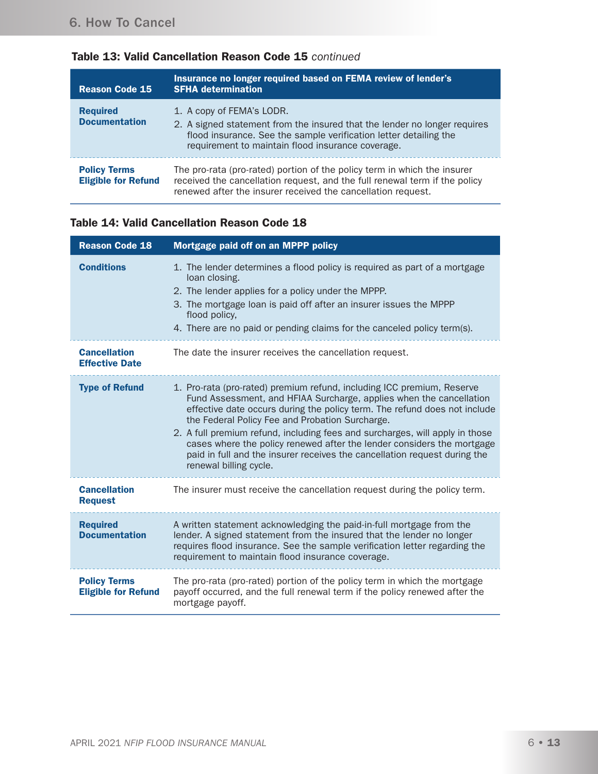| <b>Reason Code 15</b>                             | Insurance no longer required based on FEMA review of lender's<br><b>SFHA determination</b>                                                                                                                                       |
|---------------------------------------------------|----------------------------------------------------------------------------------------------------------------------------------------------------------------------------------------------------------------------------------|
| <b>Required</b><br><b>Documentation</b>           | 1. A copy of FEMA's LODR.<br>2. A signed statement from the insured that the lender no longer requires<br>flood insurance. See the sample verification letter detailing the<br>requirement to maintain flood insurance coverage. |
| <b>Policy Terms</b><br><b>Eligible for Refund</b> | The pro-rata (pro-rated) portion of the policy term in which the insurer<br>received the cancellation request, and the full renewal term if the policy<br>renewed after the insurer received the cancellation request.           |

# Table 13: Valid Cancellation Reason Code 15 *continued*

#### Table 14: Valid Cancellation Reason Code 18

| <b>Reason Code 18</b>                             | Mortgage paid off on an MPPP policy                                                                                                                                                                                                                                                                                                                                                                                                                                                                                                            |
|---------------------------------------------------|------------------------------------------------------------------------------------------------------------------------------------------------------------------------------------------------------------------------------------------------------------------------------------------------------------------------------------------------------------------------------------------------------------------------------------------------------------------------------------------------------------------------------------------------|
| <b>Conditions</b>                                 | 1. The lender determines a flood policy is required as part of a mortgage<br>loan closing.<br>2. The lender applies for a policy under the MPPP.<br>3. The mortgage loan is paid off after an insurer issues the MPPP<br>flood policy,<br>4. There are no paid or pending claims for the canceled policy term(s).                                                                                                                                                                                                                              |
| <b>Cancellation</b><br><b>Effective Date</b>      | The date the insurer receives the cancellation request.                                                                                                                                                                                                                                                                                                                                                                                                                                                                                        |
| <b>Type of Refund</b>                             | 1. Pro-rata (pro-rated) premium refund, including ICC premium, Reserve<br>Fund Assessment, and HFIAA Surcharge, applies when the cancellation<br>effective date occurs during the policy term. The refund does not include<br>the Federal Policy Fee and Probation Surcharge.<br>2. A full premium refund, including fees and surcharges, will apply in those<br>cases where the policy renewed after the lender considers the mortgage<br>paid in full and the insurer receives the cancellation request during the<br>renewal billing cycle. |
| <b>Cancellation</b><br><b>Request</b>             | The insurer must receive the cancellation request during the policy term.                                                                                                                                                                                                                                                                                                                                                                                                                                                                      |
| <b>Required</b><br><b>Documentation</b>           | A written statement acknowledging the paid-in-full mortgage from the<br>lender. A signed statement from the insured that the lender no longer<br>requires flood insurance. See the sample verification letter regarding the<br>requirement to maintain flood insurance coverage.                                                                                                                                                                                                                                                               |
| <b>Policy Terms</b><br><b>Eligible for Refund</b> | The pro-rata (pro-rated) portion of the policy term in which the mortgage<br>payoff occurred, and the full renewal term if the policy renewed after the<br>mortgage payoff.                                                                                                                                                                                                                                                                                                                                                                    |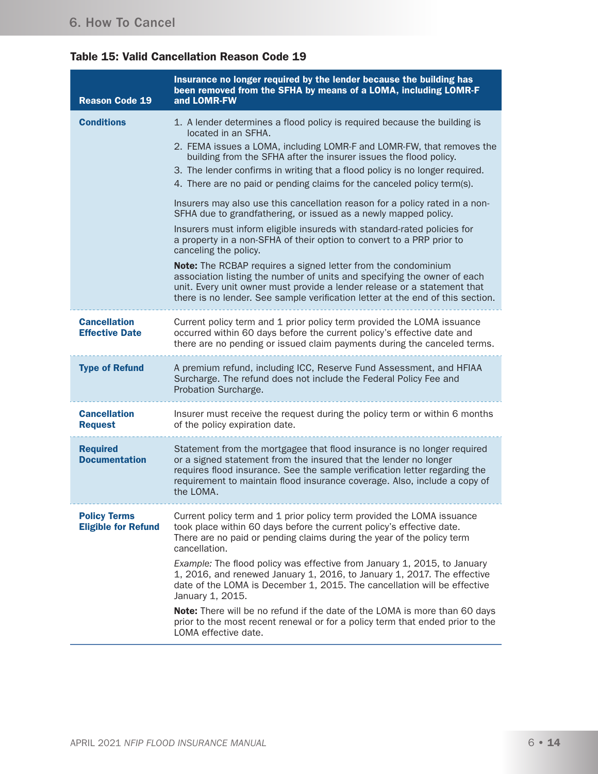### Table 15: Valid Cancellation Reason Code 19

| <b>Reason Code 19</b>                             | Insurance no longer required by the lender because the building has<br>been removed from the SFHA by means of a LOMA, including LOMR-F<br>and LOMR-FW                                                                                                                                                                                                                                                                                                                                                                                                                                                                                                                                                                                    |
|---------------------------------------------------|------------------------------------------------------------------------------------------------------------------------------------------------------------------------------------------------------------------------------------------------------------------------------------------------------------------------------------------------------------------------------------------------------------------------------------------------------------------------------------------------------------------------------------------------------------------------------------------------------------------------------------------------------------------------------------------------------------------------------------------|
| <b>Conditions</b>                                 | 1. A lender determines a flood policy is required because the building is<br>located in an SFHA.<br>2. FEMA issues a LOMA, including LOMR-F and LOMR-FW, that removes the<br>building from the SFHA after the insurer issues the flood policy.<br>3. The lender confirms in writing that a flood policy is no longer required.<br>4. There are no paid or pending claims for the canceled policy term(s).<br>Insurers may also use this cancellation reason for a policy rated in a non-<br>SFHA due to grandfathering, or issued as a newly mapped policy.<br>Insurers must inform eligible insureds with standard-rated policies for<br>a property in a non-SFHA of their option to convert to a PRP prior to<br>canceling the policy. |
|                                                   | Note: The RCBAP requires a signed letter from the condominium<br>association listing the number of units and specifying the owner of each<br>unit. Every unit owner must provide a lender release or a statement that<br>there is no lender. See sample verification letter at the end of this section.                                                                                                                                                                                                                                                                                                                                                                                                                                  |
| <b>Cancellation</b><br><b>Effective Date</b>      | Current policy term and 1 prior policy term provided the LOMA issuance<br>occurred within 60 days before the current policy's effective date and<br>there are no pending or issued claim payments during the canceled terms.                                                                                                                                                                                                                                                                                                                                                                                                                                                                                                             |
| <b>Type of Refund</b>                             | A premium refund, including ICC, Reserve Fund Assessment, and HFIAA<br>Surcharge. The refund does not include the Federal Policy Fee and<br>Probation Surcharge.                                                                                                                                                                                                                                                                                                                                                                                                                                                                                                                                                                         |
| <b>Cancellation</b><br><b>Request</b>             | Insurer must receive the request during the policy term or within 6 months<br>of the policy expiration date.                                                                                                                                                                                                                                                                                                                                                                                                                                                                                                                                                                                                                             |
| <b>Required</b><br><b>Documentation</b>           | Statement from the mortgagee that flood insurance is no longer required<br>or a signed statement from the insured that the lender no longer<br>requires flood insurance. See the sample verification letter regarding the<br>requirement to maintain flood insurance coverage. Also, include a copy of<br>the LOMA.                                                                                                                                                                                                                                                                                                                                                                                                                      |
| <b>Policy Terms</b><br><b>Eligible for Refund</b> | Current policy term and 1 prior policy term provided the LOMA issuance<br>took place within 60 days before the current policy's effective date.<br>There are no paid or pending claims during the year of the policy term<br>cancellation.<br>Example: The flood policy was effective from January 1, 2015, to January<br>1, 2016, and renewed January 1, 2016, to January 1, 2017. The effective<br>date of the LOMA is December 1, 2015. The cancellation will be effective<br>January 1, 2015.<br>Note: There will be no refund if the date of the LOMA is more than 60 days<br>prior to the most recent renewal or for a policy term that ended prior to the<br>LOMA effective date.                                                 |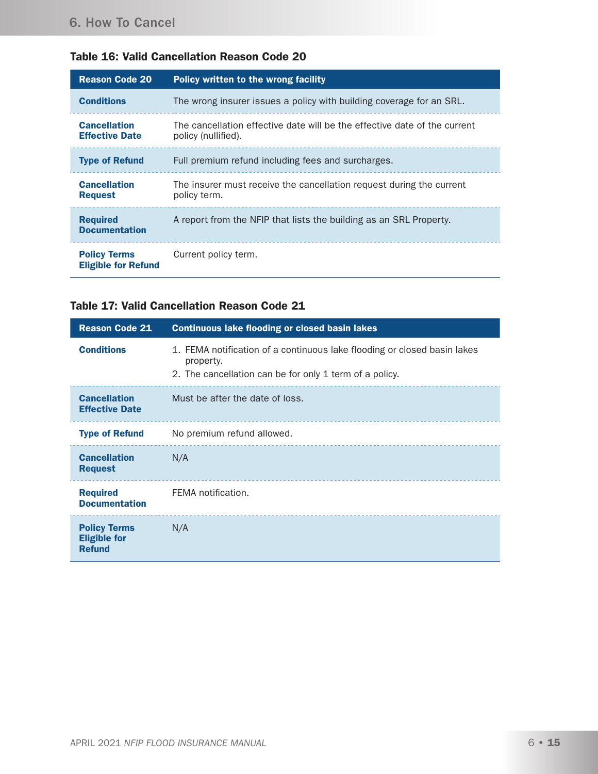|  |  | <b>Table 16: Valid Cancellation Reason Code 20</b> |  |  |  |
|--|--|----------------------------------------------------|--|--|--|
|--|--|----------------------------------------------------|--|--|--|

| <b>Reason Code 20</b>                             | Policy written to the wrong facility                                                             |
|---------------------------------------------------|--------------------------------------------------------------------------------------------------|
| <b>Conditions</b>                                 | The wrong insurer issues a policy with building coverage for an SRL.                             |
| <b>Cancellation</b><br><b>Effective Date</b>      | The cancellation effective date will be the effective date of the current<br>policy (nullified). |
| <b>Type of Refund</b>                             | Full premium refund including fees and surcharges.                                               |
| <b>Cancellation</b><br><b>Request</b>             | The insurer must receive the cancellation request during the current<br>policy term.             |
| <b>Required</b><br><b>Documentation</b>           | A report from the NFIP that lists the building as an SRL Property.                               |
| <b>Policy Terms</b><br><b>Eligible for Refund</b> | Current policy term.                                                                             |

### Table 17: Valid Cancellation Reason Code 21

| <b>Reason Code 21</b>                                       | <b>Continuous lake flooding or closed basin lakes</b>                                                                                            |
|-------------------------------------------------------------|--------------------------------------------------------------------------------------------------------------------------------------------------|
| <b>Conditions</b>                                           | 1. FEMA notification of a continuous lake flooding or closed basin lakes<br>property.<br>2. The cancellation can be for only 1 term of a policy. |
| <b>Cancellation</b><br><b>Effective Date</b>                | Must be after the date of loss.                                                                                                                  |
| <b>Type of Refund</b>                                       | No premium refund allowed.                                                                                                                       |
| <b>Cancellation</b><br><b>Request</b>                       | N/A                                                                                                                                              |
| <b>Required</b><br><b>Documentation</b>                     | FEMA notification.                                                                                                                               |
| <b>Policy Terms</b><br><b>Eligible for</b><br><b>Refund</b> | N/A                                                                                                                                              |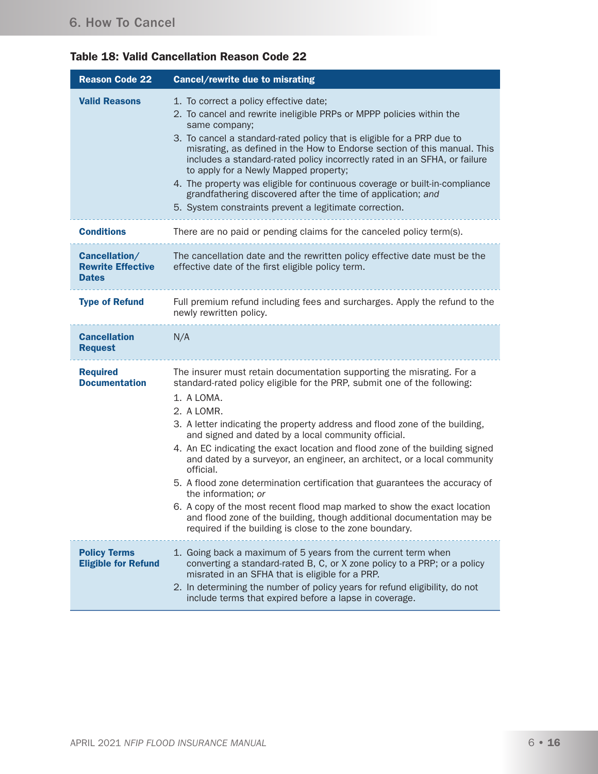| <b>Table 18: Valid Cancellation Reason Code 22</b> |  |  |  |  |
|----------------------------------------------------|--|--|--|--|
|----------------------------------------------------|--|--|--|--|

| <b>Reason Code 22</b>                                     | Cancel/rewrite due to misrating                                                                                                                                                                                                                                                                                                                                                                                                                                                                                                                                                                                                                                                                                                                                                                                     |
|-----------------------------------------------------------|---------------------------------------------------------------------------------------------------------------------------------------------------------------------------------------------------------------------------------------------------------------------------------------------------------------------------------------------------------------------------------------------------------------------------------------------------------------------------------------------------------------------------------------------------------------------------------------------------------------------------------------------------------------------------------------------------------------------------------------------------------------------------------------------------------------------|
| <b>Valid Reasons</b>                                      | 1. To correct a policy effective date;<br>2. To cancel and rewrite ineligible PRPs or MPPP policies within the<br>same company;<br>3. To cancel a standard-rated policy that is eligible for a PRP due to<br>misrating, as defined in the How to Endorse section of this manual. This<br>includes a standard-rated policy incorrectly rated in an SFHA, or failure<br>to apply for a Newly Mapped property;<br>4. The property was eligible for continuous coverage or built-in-compliance<br>grandfathering discovered after the time of application; and<br>5. System constraints prevent a legitimate correction.                                                                                                                                                                                                |
| <b>Conditions</b>                                         | There are no paid or pending claims for the canceled policy term(s).                                                                                                                                                                                                                                                                                                                                                                                                                                                                                                                                                                                                                                                                                                                                                |
| Cancellation/<br><b>Rewrite Effective</b><br><b>Dates</b> | The cancellation date and the rewritten policy effective date must be the<br>effective date of the first eligible policy term.                                                                                                                                                                                                                                                                                                                                                                                                                                                                                                                                                                                                                                                                                      |
| <b>Type of Refund</b>                                     | Full premium refund including fees and surcharges. Apply the refund to the<br>newly rewritten policy.                                                                                                                                                                                                                                                                                                                                                                                                                                                                                                                                                                                                                                                                                                               |
| <b>Cancellation</b><br><b>Request</b>                     | N/A                                                                                                                                                                                                                                                                                                                                                                                                                                                                                                                                                                                                                                                                                                                                                                                                                 |
| <b>Required</b><br><b>Documentation</b>                   | The insurer must retain documentation supporting the misrating. For a<br>standard-rated policy eligible for the PRP, submit one of the following:<br>1. A LOMA.<br>2. A LOMR.<br>3. A letter indicating the property address and flood zone of the building,<br>and signed and dated by a local community official.<br>4. An EC indicating the exact location and flood zone of the building signed<br>and dated by a surveyor, an engineer, an architect, or a local community<br>official.<br>5. A flood zone determination certification that guarantees the accuracy of<br>the information; or<br>6. A copy of the most recent flood map marked to show the exact location<br>and flood zone of the building, though additional documentation may be<br>required if the building is close to the zone boundary. |
| <b>Policy Terms</b><br><b>Eligible for Refund</b>         | 1. Going back a maximum of 5 years from the current term when<br>converting a standard-rated B, C, or X zone policy to a PRP; or a policy<br>misrated in an SFHA that is eligible for a PRP.<br>2. In determining the number of policy years for refund eligibility, do not<br>include terms that expired before a lapse in coverage.                                                                                                                                                                                                                                                                                                                                                                                                                                                                               |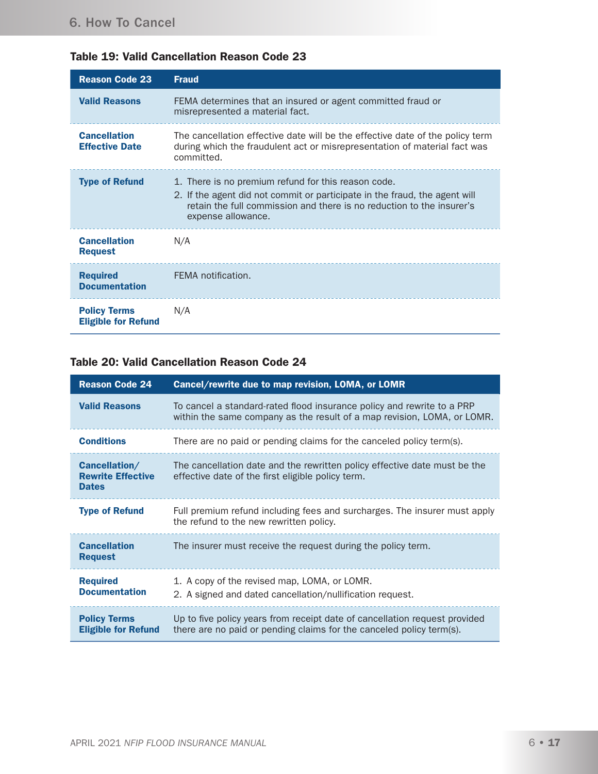| <b>Reason Code 23</b>                             | <b>Fraud</b>                                                                                                                                                                                                                     |
|---------------------------------------------------|----------------------------------------------------------------------------------------------------------------------------------------------------------------------------------------------------------------------------------|
| <b>Valid Reasons</b>                              | FEMA determines that an insured or agent committed fraud or<br>misrepresented a material fact.                                                                                                                                   |
| <b>Cancellation</b><br><b>Effective Date</b>      | The cancellation effective date will be the effective date of the policy term<br>during which the fraudulent act or misrepresentation of material fact was<br>committed.                                                         |
| <b>Type of Refund</b>                             | 1. There is no premium refund for this reason code.<br>2. If the agent did not commit or participate in the fraud, the agent will<br>retain the full commission and there is no reduction to the insurer's<br>expense allowance. |
| <b>Cancellation</b><br><b>Request</b>             | N/A                                                                                                                                                                                                                              |
| <b>Required</b><br><b>Documentation</b>           | FEMA notification.                                                                                                                                                                                                               |
| <b>Policy Terms</b><br><b>Eligible for Refund</b> | N/A                                                                                                                                                                                                                              |

# Table 19: Valid Cancellation Reason Code 23

### Table 20: Valid Cancellation Reason Code 24

| <b>Reason Code 24</b>                                     | Cancel/rewrite due to map revision, LOMA, or LOMR                                                                                                  |
|-----------------------------------------------------------|----------------------------------------------------------------------------------------------------------------------------------------------------|
| <b>Valid Reasons</b>                                      | To cancel a standard-rated flood insurance policy and rewrite to a PRP<br>within the same company as the result of a map revision, LOMA, or LOMR.  |
| <b>Conditions</b>                                         | There are no paid or pending claims for the canceled policy term(s).                                                                               |
| Cancellation/<br><b>Rewrite Effective</b><br><b>Dates</b> | The cancellation date and the rewritten policy effective date must be the<br>effective date of the first eligible policy term.                     |
| <b>Type of Refund</b>                                     | Full premium refund including fees and surcharges. The insurer must apply<br>the refund to the new rewritten policy.                               |
| <b>Cancellation</b><br><b>Request</b>                     | The insurer must receive the request during the policy term.                                                                                       |
| <b>Required</b><br><b>Documentation</b>                   | 1. A copy of the revised map, LOMA, or LOMR.<br>2. A signed and dated cancellation/nullification request.                                          |
| <b>Policy Terms</b><br><b>Eligible for Refund</b>         | Up to five policy years from receipt date of cancellation request provided<br>there are no paid or pending claims for the canceled policy term(s). |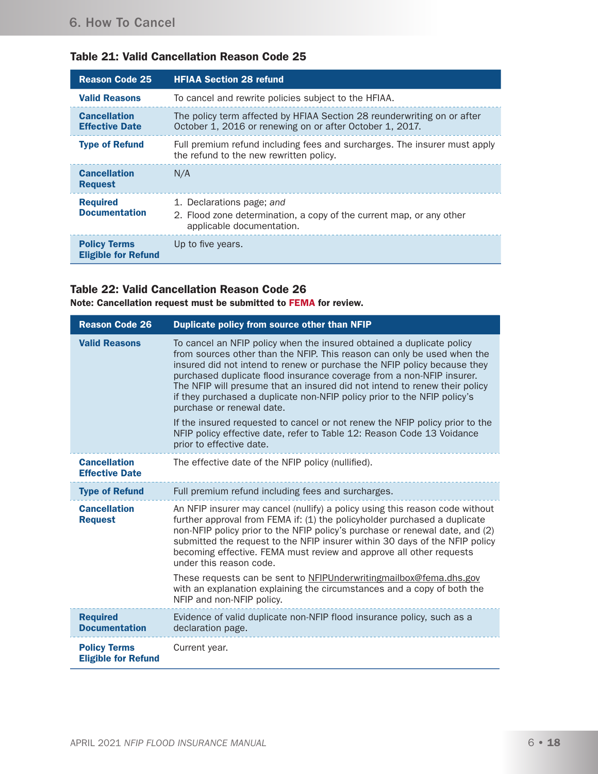| <b>Reason Code 25</b>                             | <b>HFIAA Section 28 refund</b>                                                                                                      |
|---------------------------------------------------|-------------------------------------------------------------------------------------------------------------------------------------|
| <b>Valid Reasons</b>                              | To cancel and rewrite policies subject to the HFIAA.                                                                                |
| <b>Cancellation</b><br><b>Effective Date</b>      | The policy term affected by HFIAA Section 28 reunderwriting on or after<br>October 1, 2016 or renewing on or after October 1, 2017. |
| <b>Type of Refund</b>                             | Full premium refund including fees and surcharges. The insurer must apply<br>the refund to the new rewritten policy.                |
| <b>Cancellation</b><br><b>Request</b>             | N/A                                                                                                                                 |
| <b>Required</b><br><b>Documentation</b>           | 1. Declarations page; and<br>2. Flood zone determination, a copy of the current map, or any other<br>applicable documentation.      |
| <b>Policy Terms</b><br><b>Eligible for Refund</b> | Up to five years.                                                                                                                   |

# Table 21: Valid Cancellation Reason Code 25

#### Table 22: Valid Cancellation Reason Code 26

Note: Cancellation request must be submitted to FEMA for review.

| <b>Reason Code 26</b>                             | Duplicate policy from source other than NFIP                                                                                                                                                                                                                                                                                                                                                                                                                                                 |
|---------------------------------------------------|----------------------------------------------------------------------------------------------------------------------------------------------------------------------------------------------------------------------------------------------------------------------------------------------------------------------------------------------------------------------------------------------------------------------------------------------------------------------------------------------|
| <b>Valid Reasons</b>                              | To cancel an NFIP policy when the insured obtained a duplicate policy<br>from sources other than the NFIP. This reason can only be used when the<br>insured did not intend to renew or purchase the NFIP policy because they<br>purchased duplicate flood insurance coverage from a non-NFIP insurer.<br>The NFIP will presume that an insured did not intend to renew their policy<br>if they purchased a duplicate non-NFIP policy prior to the NFIP policy's<br>purchase or renewal date. |
|                                                   | If the insured requested to cancel or not renew the NFIP policy prior to the<br>NFIP policy effective date, refer to Table 12: Reason Code 13 Voidance<br>prior to effective date.                                                                                                                                                                                                                                                                                                           |
| <b>Cancellation</b><br><b>Effective Date</b>      | The effective date of the NFIP policy (nullified).                                                                                                                                                                                                                                                                                                                                                                                                                                           |
| <b>Type of Refund</b>                             | Full premium refund including fees and surcharges.                                                                                                                                                                                                                                                                                                                                                                                                                                           |
| <b>Cancellation</b><br><b>Request</b>             | An NFIP insurer may cancel (nullify) a policy using this reason code without<br>further approval from FEMA if: (1) the policyholder purchased a duplicate<br>non-NFIP policy prior to the NFIP policy's purchase or renewal date, and (2)<br>submitted the request to the NFIP insurer within 30 days of the NFIP policy<br>becoming effective. FEMA must review and approve all other requests<br>under this reason code.                                                                   |
|                                                   | These requests can be sent to NFIPUnderwritingmailbox@fema.dhs.gov<br>with an explanation explaining the circumstances and a copy of both the<br>NFIP and non-NFIP policy.                                                                                                                                                                                                                                                                                                                   |
| <b>Required</b><br><b>Documentation</b>           | Evidence of valid duplicate non-NFIP flood insurance policy, such as a<br>declaration page.                                                                                                                                                                                                                                                                                                                                                                                                  |
| <b>Policy Terms</b><br><b>Eligible for Refund</b> | Current year.                                                                                                                                                                                                                                                                                                                                                                                                                                                                                |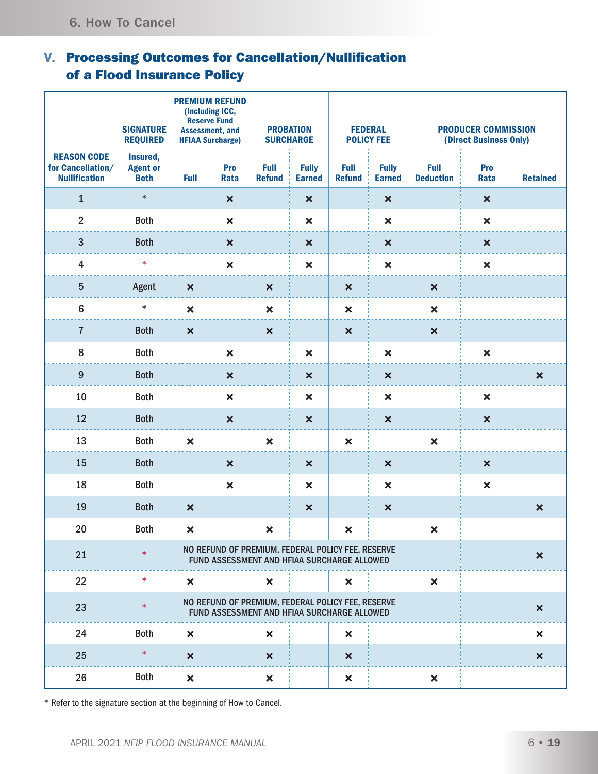# V. Processing Outcomes for Cancellation/Nullification of a Flood Insurance Policy

|                                                                 | <b>SIGNATURE</b><br><b>REQUIRED</b>        | <b>PREMIUM REFUND</b><br>(Including ICC,<br><b>Reserve Fund</b><br><b>PROBATION</b><br><b>Assessment, and</b><br><b>SURCHARGE</b><br><b>HFIAA Surcharge)</b> |                                                                                                  | <b>FEDERAL</b><br><b>POLICY FEE</b> |                               | <b>PRODUCER COMMISSION</b><br>(Direct Business Only) |                               |                                 |                           |                           |
|-----------------------------------------------------------------|--------------------------------------------|--------------------------------------------------------------------------------------------------------------------------------------------------------------|--------------------------------------------------------------------------------------------------|-------------------------------------|-------------------------------|------------------------------------------------------|-------------------------------|---------------------------------|---------------------------|---------------------------|
| <b>REASON CODE</b><br>for Cancellation/<br><b>Nullification</b> | Insured,<br><b>Agent or</b><br><b>Both</b> | <b>Full</b>                                                                                                                                                  | Pro<br>Rata                                                                                      | <b>Full</b><br><b>Refund</b>        | <b>Fully</b><br><b>Earned</b> | <b>Full</b><br><b>Refund</b>                         | <b>Fully</b><br><b>Earned</b> | <b>Full</b><br><b>Deduction</b> | Pro<br>Rata               | <b>Retained</b>           |
| $\mathbf{1}$                                                    | $\ast$                                     |                                                                                                                                                              | $\boldsymbol{\mathsf{x}}$                                                                        |                                     | $\boldsymbol{\mathsf{x}}$     |                                                      | $\boldsymbol{\mathsf{x}}$     |                                 | $\boldsymbol{\mathsf{x}}$ |                           |
| $\overline{2}$                                                  | <b>Both</b>                                |                                                                                                                                                              | $\pmb{\times}$                                                                                   |                                     | $\boldsymbol{\mathsf{x}}$     |                                                      | $\boldsymbol{\mathsf{x}}$     |                                 | $\boldsymbol{\mathsf{x}}$ |                           |
| $\overline{3}$                                                  | <b>Both</b>                                |                                                                                                                                                              | $\boldsymbol{\mathsf{x}}$                                                                        |                                     | $\boldsymbol{\mathsf{x}}$     |                                                      | $\boldsymbol{\mathsf{x}}$     |                                 | $\boldsymbol{\mathsf{x}}$ |                           |
| $\overline{4}$                                                  | $\ast$                                     |                                                                                                                                                              | $\boldsymbol{\mathsf{x}}$                                                                        |                                     | $\pmb{\times}$                |                                                      | $\boldsymbol{\mathsf{x}}$     |                                 | $\pmb{\times}$            |                           |
| $5\phantom{.0}$                                                 | Agent                                      | $\boldsymbol{\mathsf{x}}$                                                                                                                                    |                                                                                                  | $\boldsymbol{\mathsf{x}}$           |                               | $\boldsymbol{\mathsf{x}}$                            |                               | $\boldsymbol{\mathsf{x}}$       |                           |                           |
| $\boldsymbol{6}$                                                | $\ast$                                     | $\boldsymbol{\mathsf{x}}$                                                                                                                                    |                                                                                                  | $\boldsymbol{\mathsf{x}}$           |                               | $\boldsymbol{\mathsf{x}}$                            |                               | $\pmb{\times}$                  |                           |                           |
| $\overline{7}$                                                  | <b>Both</b>                                | $\boldsymbol{\mathsf{x}}$                                                                                                                                    |                                                                                                  | $\boldsymbol{\mathsf{x}}$           |                               | $\boldsymbol{\mathsf{x}}$                            |                               | $\boldsymbol{\mathsf{x}}$       |                           |                           |
| 8                                                               | <b>Both</b>                                |                                                                                                                                                              | $\pmb{\times}$                                                                                   |                                     | $\pmb{\times}$                |                                                      | $\boldsymbol{\mathsf{x}}$     |                                 | $\pmb{\times}$            |                           |
| $9\,$                                                           | <b>Both</b>                                |                                                                                                                                                              | $\boldsymbol{\mathsf{x}}$                                                                        |                                     | $\boldsymbol{\mathsf{x}}$     |                                                      | $\boldsymbol{\mathsf{x}}$     |                                 |                           | $\boldsymbol{\mathsf{x}}$ |
| 10                                                              | <b>Both</b>                                |                                                                                                                                                              | $\pmb{\times}$                                                                                   |                                     | $\boldsymbol{\mathsf{x}}$     |                                                      | $\boldsymbol{\mathsf{x}}$     |                                 | $\boldsymbol{\mathsf{x}}$ |                           |
| 12                                                              | <b>Both</b>                                |                                                                                                                                                              | $\boldsymbol{\mathsf{x}}$                                                                        |                                     | $\boldsymbol{\mathsf{x}}$     |                                                      | $\boldsymbol{\mathsf{x}}$     |                                 | $\boldsymbol{\mathsf{x}}$ |                           |
| 13                                                              | <b>Both</b>                                | $\boldsymbol{\mathsf{x}}$                                                                                                                                    |                                                                                                  | $\boldsymbol{\mathsf{x}}$           |                               | $\boldsymbol{\mathsf{x}}$                            |                               | $\boldsymbol{\mathsf{x}}$       |                           |                           |
| 15                                                              | <b>Both</b>                                |                                                                                                                                                              | $\boldsymbol{\mathsf{x}}$                                                                        |                                     | $\boldsymbol{\mathsf{x}}$     |                                                      | $\boldsymbol{\mathsf{x}}$     |                                 | $\boldsymbol{\mathsf{x}}$ |                           |
| 18                                                              | <b>Both</b>                                |                                                                                                                                                              | $\pmb{\times}$                                                                                   |                                     | $\pmb{\times}$                |                                                      | $\boldsymbol{\mathsf{x}}$     |                                 | $\pmb{\times}$            |                           |
| 19                                                              | <b>Both</b>                                | $\boldsymbol{\mathsf{x}}$                                                                                                                                    |                                                                                                  |                                     | $\boldsymbol{\mathsf{x}}$     |                                                      | $\boldsymbol{\mathsf{x}}$     |                                 |                           | $\boldsymbol{\mathsf{x}}$ |
| 20                                                              | <b>Both</b>                                | ×                                                                                                                                                            |                                                                                                  | $\boldsymbol{\mathsf{x}}$           |                               | $\boldsymbol{\mathsf{x}}$                            |                               | $\mathsf{x}$                    |                           |                           |
| 21                                                              | $\ast$                                     |                                                                                                                                                              | NO REFUND OF PREMIUM, FEDERAL POLICY FEE, RESERVE<br>FUND ASSESSMENT AND HFIAA SURCHARGE ALLOWED |                                     |                               |                                                      |                               |                                 |                           | $\boldsymbol{\mathsf{x}}$ |
| 22                                                              | $\ast$                                     | $\boldsymbol{\mathsf{x}}$                                                                                                                                    |                                                                                                  | ×                                   |                               | $\boldsymbol{\mathsf{x}}$                            |                               | $\boldsymbol{\mathsf{x}}$       |                           |                           |
| 23                                                              | $\ast$                                     |                                                                                                                                                              | NO REFUND OF PREMIUM, FEDERAL POLICY FEE, RESERVE<br>FUND ASSESSMENT AND HFIAA SURCHARGE ALLOWED |                                     |                               |                                                      |                               |                                 |                           | $\boldsymbol{\mathsf{x}}$ |
| 24                                                              | <b>Both</b>                                | $\pmb{\times}$                                                                                                                                               |                                                                                                  | $\pmb{\times}$                      |                               | $\boldsymbol{\mathsf{x}}$                            |                               |                                 |                           | $\boldsymbol{\mathsf{x}}$ |
| 25                                                              | $\ast$                                     | $\boldsymbol{\mathsf{x}}$                                                                                                                                    |                                                                                                  | $\boldsymbol{\mathsf{x}}$           |                               | $\boldsymbol{\mathsf{x}}$                            |                               |                                 |                           | $\boldsymbol{\mathsf{x}}$ |
| 26                                                              | <b>Both</b>                                | $\pmb{\times}$                                                                                                                                               |                                                                                                  | $\pmb{\times}$                      |                               | $\boldsymbol{\mathsf{x}}$                            |                               | $\boldsymbol{\mathsf{x}}$       |                           |                           |

\* Refer to the signature section at the beginning of How to Cancel.